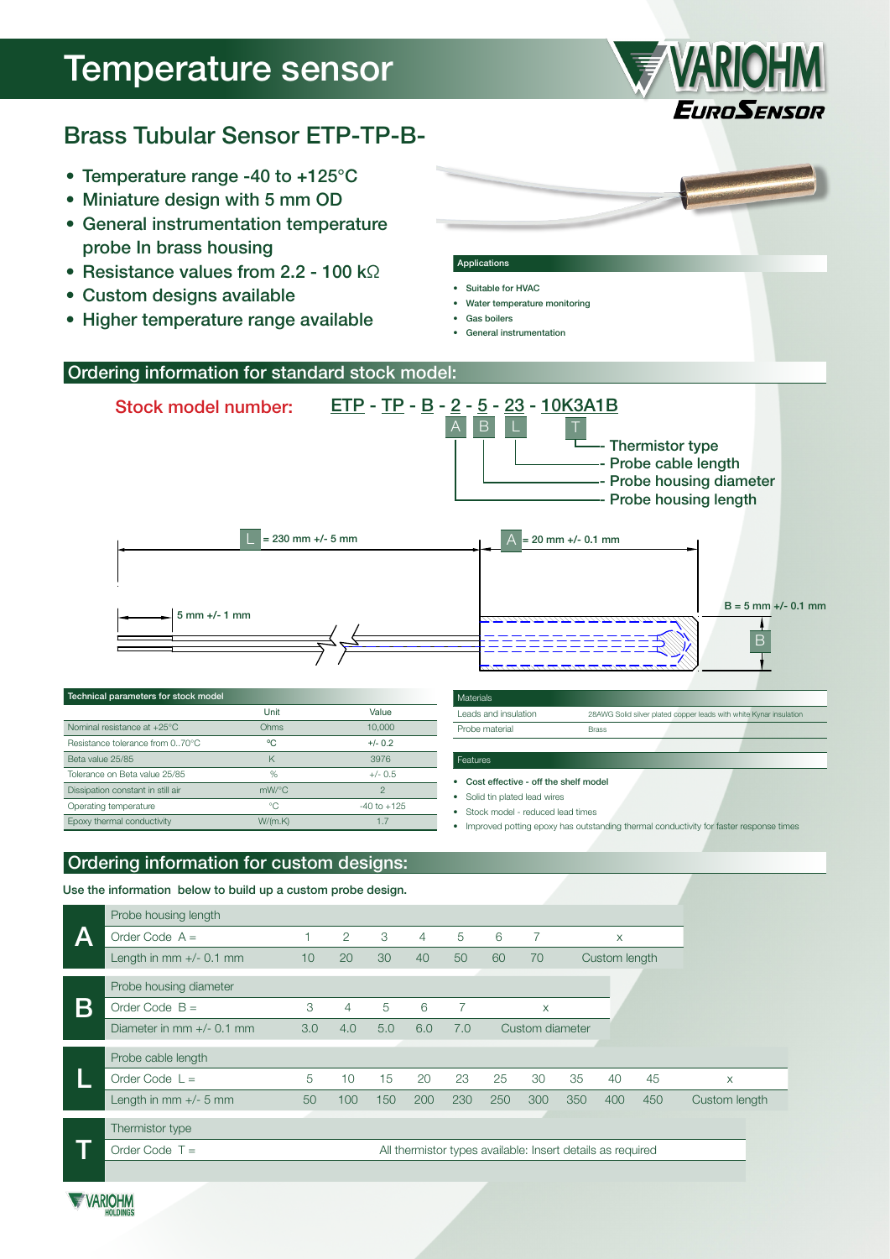# Temperature sensor



# Brass Tubular Sensor ETP-TP-B-

- Temperature range -40 to +125°C
- Miniature design with 5 mm OD
- General instrumentation temperature probe In brass housing
- Resistance values from 2.2 100 kΩ
- Custom designs available
- • Higher temperature range available

### Applications

- Suitable for HVAC • Water temperature monitoring
- Gas boilers
- • General instrumentation



#### • Cost effective - off the shelf model

Solid tin plated lead wires

Stock model - reduced lead times

Improved potting epoxy has outstanding thermal conductivity for faster response times

# Ordering information for custom designs:

Dissipation constant in still air mW/°C 2 Operating temperature  $\degree$ C -40 to +125 Epoxy thermal conductivity W/(m.K) 1.7

Use the information below to build up a custom probe design.

|   | Probe housing length                                                           |     |     |     |     |     |     |                 |     |               |     |               |
|---|--------------------------------------------------------------------------------|-----|-----|-----|-----|-----|-----|-----------------|-----|---------------|-----|---------------|
|   | Order Code $A =$                                                               |     | 2   | 3   | 4   | 5   | 6   |                 |     | X             |     |               |
|   | Length in $mm +/- 0.1 mm$                                                      | 10  | 20  | 30  | 40  | 50  | 60  | 70              |     | Custom length |     |               |
|   | Probe housing diameter                                                         |     |     |     |     |     |     |                 |     |               |     |               |
| B | Order Code $B =$                                                               | 3   | 4   | 5   | 6   | 7   |     | X               |     |               |     |               |
|   | Diameter in mm $+/-$ 0.1 mm                                                    | 3.0 | 4.0 | 5.0 | 6.0 | 7.0 |     | Custom diameter |     |               |     |               |
|   | Probe cable length                                                             |     |     |     |     |     |     |                 |     |               |     |               |
|   | Order Code $L =$                                                               | 5   | 10  | 15  | 20  | 23  | 25  | 30              | 35  | 40            | 45  | X             |
|   | Length in $mm +/- 5 mm$                                                        | 50  | 100 | 150 | 200 | 230 | 250 | 300             | 350 | 400           | 450 | Custom length |
|   | Thermistor type                                                                |     |     |     |     |     |     |                 |     |               |     |               |
|   | Order Code $T =$<br>All thermistor types available: Insert details as required |     |     |     |     |     |     |                 |     |               |     |               |
|   |                                                                                |     |     |     |     |     |     |                 |     |               |     |               |